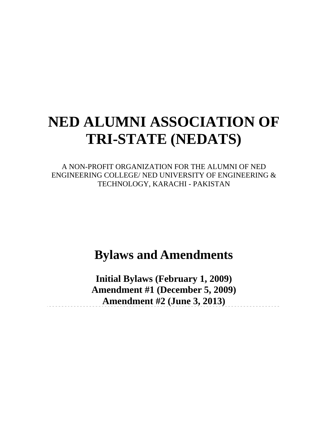# **NED ALUMNI ASSOCIATION OF TRI-STATE (NEDATS)**

A NON-PROFIT ORGANIZATION FOR THE ALUMNI OF NED ENGINEERING COLLEGE/ NED UNIVERSITY OF ENGINEERING & TECHNOLOGY, KARACHI - PAKISTAN

# **Bylaws and Amendments**

**Initial Bylaws (February 1, 2009) Amendment #1 (December 5, 2009) Amendment #2 (June 3, 2013)**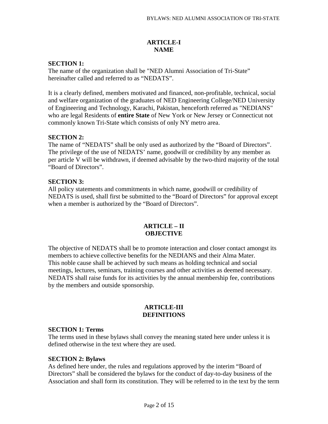# **ARTICLE-I NAME**

# **SECTION 1:**

The name of the organization shall be "NED Alumni Association of Tri-State" hereinafter called and referred to as "NEDATS".

It is a clearly defined, members motivated and financed, non-profitable, technical, social and welfare organization of the graduates of NED Engineering College/NED University of Engineering and Technology, Karachi, Pakistan, henceforth referred as "NEDIANS" who are legal Residents of **entire State** of New York or New Jersey or Connecticut not commonly known Tri-State which consists of only NY metro area.

# **SECTION 2:**

The name of "NEDATS" shall be only used as authorized by the "Board of Directors". The privilege of the use of NEDATS' name, goodwill or credibility by any member as per article V will be withdrawn, if deemed advisable by the two-third majority of the total "Board of Directors".

# **SECTION 3:**

All policy statements and commitments in which name, goodwill or credibility of NEDATS is used, shall first be submitted to the "Board of Directors" for approval except when a member is authorized by the "Board of Directors".

# **ARTICLE – II OBJECTIVE**

The objective of NEDATS shall be to promote interaction and closer contact amongst its members to achieve collective benefits for the NEDIANS and their Alma Mater. This noble cause shall be achieved by such means as holding technical and social meetings, lectures, seminars, training courses and other activities as deemed necessary. NEDATS shall raise funds for its activities by the annual membership fee, contributions by the members and outside sponsorship.

#### **ARTICLE-III DEFINITIONS**

#### **SECTION 1: Terms**

The terms used in these bylaws shall convey the meaning stated here under unless it is defined otherwise in the text where they are used.

#### **SECTION 2: Bylaws**

As defined here under, the rules and regulations approved by the interim "Board of Directors" shall be considered the bylaws for the conduct of day-to-day business of the Association and shall form its constitution. They will be referred to in the text by the term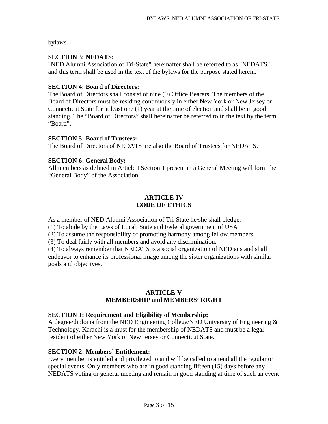bylaws.

# **SECTION 3: NEDATS:**

"NED Alumni Association of Tri-State" hereinafter shall be referred to as "NEDATS" and this term shall be used in the text of the bylaws for the purpose stated herein.

### **SECTION 4: Board of Directors:**

The Board of Directors shall consist of nine (9) Office Bearers. The members of the Board of Directors must be residing continuously in either New York or New Jersey or Connecticut State for at least one (1) year at the time of election and shall be in good standing. The "Board of Directors" shall hereinafter be referred to in the text by the term "Board".

# **SECTION 5: Board of Trustees:**

The Board of Directors of NEDATS are also the Board of Trustees for NEDATS.

# **SECTION 6: General Body:**

All members as defined in Article I Section 1 present in a General Meeting will form the "General Body" of the Association.

# **ARTICLE-IV CODE OF ETHICS**

As a member of NED Alumni Association of Tri-State he/she shall pledge:

(1) To abide by the Laws of Local, State and Federal government of USA

(2) To assume the responsibility of promoting harmony among fellow members.

(3) To deal fairly with all members and avoid any discrimination.

(4) To always remember that NEDATS is a social organization of NEDians and shall endeavor to enhance its professional image among the sister organizations with similar goals and objectives.

#### **ARTICLE-V MEMBERSHIP and MEMBERS' RIGHT**

#### **SECTION 1: Requirement and Eligibility of Membership:**

A degree/diploma from the NED Engineering College/NED University of Engineering & Technology, Karachi is a must for the membership of NEDATS and must be a legal resident of either New York or New Jersey or Connecticut State.

# **SECTION 2: Members' Entitlement:**

Every member is entitled and privileged to and will be called to attend all the regular or special events. Only members who are in good standing fifteen (15) days before any NEDATS voting or general meeting and remain in good standing at time of such an event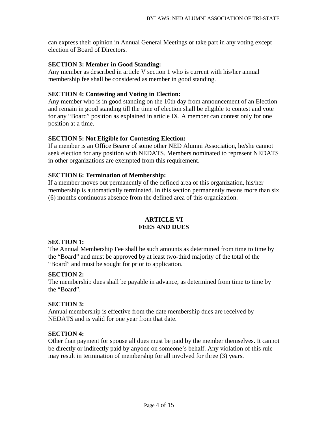can express their opinion in Annual General Meetings or take part in any voting except election of Board of Directors.

#### **SECTION 3: Member in Good Standing:**

Any member as described in article V section 1 who is current with his/her annual membership fee shall be considered as member in good standing.

# **SECTION 4: Contesting and Voting in Election:**

Any member who is in good standing on the 10th day from announcement of an Election and remain in good standing till the time of election shall be eligible to contest and vote for any "Board" position as explained in article IX. A member can contest only for one position at a time.

# **SECTION 5: Not Eligible for Contesting Election:**

If a member is an Office Bearer of some other NED Alumni Association, he/she cannot seek election for any position with NEDATS. Members nominated to represent NEDATS in other organizations are exempted from this requirement.

# **SECTION 6: Termination of Membership:**

If a member moves out permanently of the defined area of this organization, his/her membership is automatically terminated. In this section permanently means more than six (6) months continuous absence from the defined area of this organization.

# **ARTICLE VI FEES AND DUES**

#### **SECTION 1:**

The Annual Membership Fee shall be such amounts as determined from time to time by the "Board" and must be approved by at least two-third majority of the total of the "Board" and must be sought for prior to application.

#### **SECTION 2:**

The membership dues shall be payable in advance, as determined from time to time by the "Board".

#### **SECTION 3:**

Annual membership is effective from the date membership dues are received by NEDATS and is valid for one year from that date.

# **SECTION 4:**

Other than payment for spouse all dues must be paid by the member themselves. It cannot be directly or indirectly paid by anyone on someone's behalf. Any violation of this rule may result in termination of membership for all involved for three (3) years.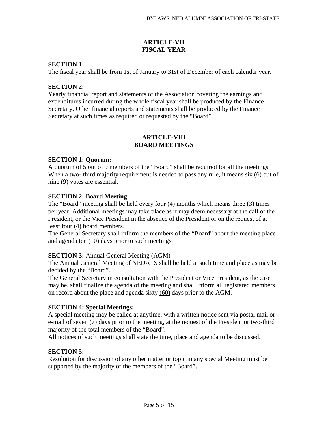# **ARTICLE-VII FISCAL YEAR**

# **SECTION 1:**

The fiscal year shall be from 1st of January to 31st of December of each calendar year.

### **SECTION 2:**

Yearly financial report and statements of the Association covering the earnings and expenditures incurred during the whole fiscal year shall be produced by the Finance Secretary. Other financial reports and statements shall be produced by the Finance Secretary at such times as required or requested by the "Board".

#### **ARTICLE-VIII BOARD MEETINGS**

#### **SECTION 1: Quorum:**

A quorum of 5 out of 9 members of the "Board" shall be required for all the meetings. When a two- third majority requirement is needed to pass any rule, it means six (6) out of nine (9) votes are essential.

#### **SECTION 2: Board Meeting:**

The "Board" meeting shall be held every four (4) months which means three (3) times per year. Additional meetings may take place as it may deem necessary at the call of the President, or the Vice President in the absence of the President or on the request of at least four (4) board members.

The General Secretary shall inform the members of the "Board" about the meeting place and agenda ten (10) days prior to such meetings.

#### **SECTION 3:** Annual General Meeting (AGM)

The Annual General Meeting of NEDATS shall be held at such time and place as may be decided by the "Board".

The General Secretary in consultation with the President or Vice President, as the case may be, shall finalize the agenda of the meeting and shall inform all registered members on record about the place and agenda sixty (60) days prior to the AGM.

#### **SECTION 4: Special Meetings:**

A special meeting may be called at anytime, with a written notice sent via postal mail or e-mail of seven (7) days prior to the meeting, at the request of the President or two-third majority of the total members of the "Board".

All notices of such meetings shall state the time, place and agenda to be discussed.

#### **SECTION 5:**

Resolution for discussion of any other matter or topic in any special Meeting must be supported by the majority of the members of the "Board".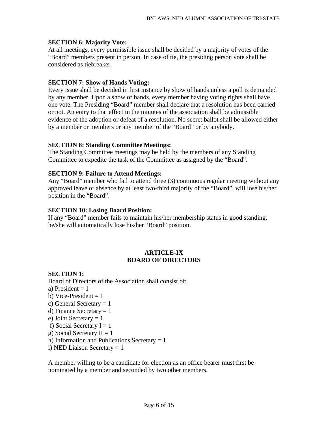### **SECTION 6: Majority Vote:**

At all meetings, every permissible issue shall be decided by a majority of votes of the "Board" members present in person. In case of tie, the presiding person vote shall be considered as tiebreaker.

# **SECTION 7: Show of Hands Voting:**

Every issue shall be decided in first instance by show of hands unless a poll is demanded by any member. Upon a show of hands, every member having voting rights shall have one vote. The Presiding "Board" member shall declare that a resolution has been carried or not. An entry to that effect in the minutes of the association shall be admissible evidence of the adoption or defeat of a resolution. No secret ballot shall be allowed either by a member or members or any member of the "Board" or by anybody.

# **SECTION 8: Standing Committee Meetings:**

The Standing Committee meetings may be held by the members of any Standing Committee to expedite the task of the Committee as assigned by the "Board".

#### **SECTION 9: Failure to Attend Meetings:**

Any "Board" member who fail to attend three (3) continuous regular meeting without any approved leave of absence by at least two-third majority of the "Board", will lose his/her position in the "Board".

#### **SECTION 10: Losing Board Position:**

If any "Board" member fails to maintain his/her membership status in good standing, he/she will automatically lose his/her "Board" position.

#### **ARTICLE-IX BOARD OF DIRECTORS**

#### **SECTION 1:**

Board of Directors of the Association shall consist of:

- a) President  $= 1$
- b) Vice-President  $= 1$
- c) General Secretary  $= 1$
- d) Finance Secretary  $= 1$
- e) Joint Secretary  $= 1$
- f) Social Secretary  $I = 1$
- g) Social Secretary  $II = 1$
- h) Information and Publications Secretary  $= 1$
- i) NED Liaison Secretary = 1

A member willing to be a candidate for election as an office bearer must first be nominated by a member and seconded by two other members.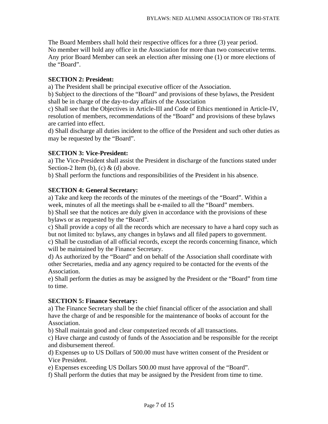The Board Members shall hold their respective offices for a three (3) year period. No member will hold any office in the Association for more than two consecutive terms. Any prior Board Member can seek an election after missing one (1) or more elections of the "Board".

### **SECTION 2: President:**

a) The President shall be principal executive officer of the Association.

b) Subject to the directions of the "Board" and provisions of these bylaws, the President shall be in charge of the day-to-day affairs of the Association

c) Shall see that the Objectives in Article-III and Code of Ethics mentioned in Article-IV, resolution of members, recommendations of the "Board" and provisions of these bylaws are carried into effect.

d) Shall discharge all duties incident to the office of the President and such other duties as may be requested by the "Board".

#### **SECTION 3: Vice-President:**

a) The Vice-President shall assist the President in discharge of the functions stated under Section-2 Item (b), (c)  $&$  (d) above.

b) Shall perform the functions and responsibilities of the President in his absence.

#### **SECTION 4: General Secretary:**

a) Take and keep the records of the minutes of the meetings of the "Board". Within a week, minutes of all the meetings shall be e-mailed to all the "Board" members.

b) Shall see that the notices are duly given in accordance with the provisions of these bylaws or as requested by the "Board".

c) Shall provide a copy of all the records which are necessary to have a hard copy such as but not limited to: bylaws, any changes in bylaws and all filed papers to government.

c) Shall be custodian of all official records, except the records concerning finance, which will be maintained by the Finance Secretary.

d) As authorized by the "Board" and on behalf of the Association shall coordinate with other Secretaries, media and any agency required to be contacted for the events of the Association.

e) Shall perform the duties as may be assigned by the President or the "Board" from time to time.

#### **SECTION 5: Finance Secretary:**

a) The Finance Secretary shall be the chief financial officer of the association and shall have the charge of and be responsible for the maintenance of books of account for the Association.

b) Shall maintain good and clear computerized records of all transactions.

c) Have charge and custody of funds of the Association and be responsible for the receipt and disbursement thereof.

d) Expenses up to US Dollars of 500.00 must have written consent of the President or Vice President.

e) Expenses exceeding US Dollars 500.00 must have approval of the "Board".

f) Shall perform the duties that may be assigned by the President from time to time.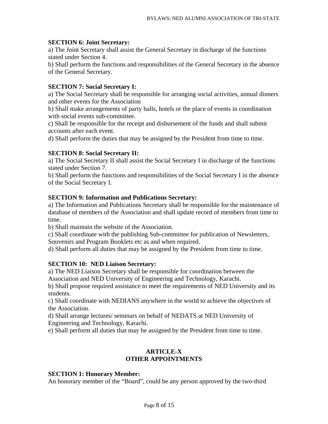#### **SECTION 6: Joint Secretary:**

a) The Joint Secretary shall assist the General Secretary in discharge of the functions stated under Section 4.

b) Shall perform the functions and responsibilities of the General Secretary in the absence of the General Secretary.

### **SECTION 7: Social Secretary I:**

a) The Social Secretary shall be responsible for arranging social activities, annual dinners and other events for the Association

b) Shall make arrangements of party halls, hotels or the place of events in coordination with social events sub-committee.

c) Shall be responsible for the receipt and disbursement of the funds and shall submit accounts after each event.

d) Shall perform the duties that may be assigned by the President from time to time.

#### **SECTION 8: Social Secretary II:**

a) The Social Secretary II shall assist the Social Secretary I in discharge of the functions stated under Section 7.

b) Shall perform the functions and responsibilities of the Social Secretary I in the absence of the Social Secretary I.

#### **SECTION 9: Information and Publications Secretary:**

a) The Information and Publications Secretary shall be responsible for the maintenance of database of members of the Association and shall update record of members from time to time.

b) Shall maintain the website of the Association.

c) Shall coordinate with the publishing Sub-committee for publication of Newsletters, Souvenirs and Program Booklets etc as and when required.

d) Shall perform all duties that may be assigned by the President from time to time.

#### **SECTION 10: NED Liaison Secretary:**

a) The NED Liaison Secretary shall be responsible for coordination between the Association and NED University of Engineering and Technology, Karachi.

b) Shall propose required assistance to meet the requirements of NED University and its students.

c) Shall coordinate with NEDIANS anywhere in the world to achieve the objectives of the Association.

d) Shall arrange lectures/ seminars on behalf of NEDATS at NED University of Engineering and Technology, Karachi.

e) Shall perform all duties that may be assigned by the President from time to time.

#### **ARTICLE-X OTHER APPOINTMENTS**

#### **SECTION 1: Honorary Member:**

An honorary member of the "Board", could be any person approved by the two-third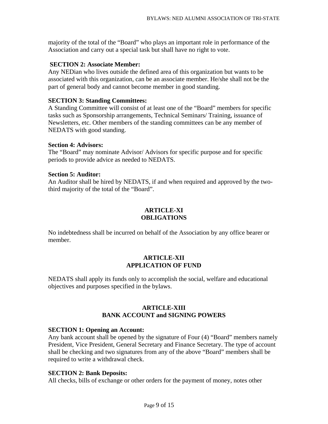majority of the total of the "Board" who plays an important role in performance of the Association and carry out a special task but shall have no right to vote.

#### **SECTION 2: Associate Member:**

Any NEDian who lives outside the defined area of this organization but wants to be associated with this organization, can be an associate member. He/she shall not be the part of general body and cannot become member in good standing.

#### **SECTION 3: Standing Committees:**

A Standing Committee will consist of at least one of the "Board" members for specific tasks such as Sponsorship arrangements, Technical Seminars/ Training, issuance of Newsletters, etc. Other members of the standing committees can be any member of NEDATS with good standing.

#### **Section 4: Advisors:**

The "Board" may nominate Advisor/ Advisors for specific purpose and for specific periods to provide advice as needed to NEDATS.

#### **Section 5: Auditor:**

An Auditor shall be hired by NEDATS, if and when required and approved by the twothird majority of the total of the "Board".

# **ARTICLE-XI OBLIGATIONS**

No indebtedness shall be incurred on behalf of the Association by any office bearer or member.

#### **ARTICLE-XII APPLICATION OF FUND**

NEDATS shall apply its funds only to accomplish the social, welfare and educational objectives and purposes specified in the bylaws.

#### **ARTICLE-XIII BANK ACCOUNT and SIGNING POWERS**

#### **SECTION 1: Opening an Account:**

Any bank account shall be opened by the signature of Four (4) "Board" members namely President, Vice President, General Secretary and Finance Secretary. The type of account shall be checking and two signatures from any of the above "Board" members shall be required to write a withdrawal check.

#### **SECTION 2: Bank Deposits:**

All checks, bills of exchange or other orders for the payment of money, notes other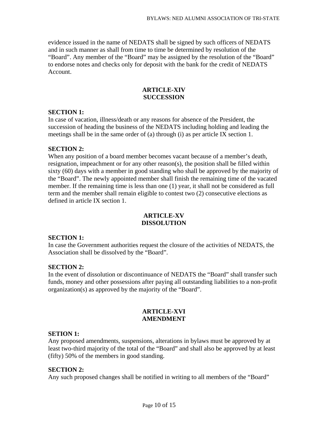evidence issued in the name of NEDATS shall be signed by such officers of NEDATS and in such manner as shall from time to time be determined by resolution of the "Board". Any member of the "Board" may be assigned by the resolution of the "Board" to endorse notes and checks only for deposit with the bank for the credit of NEDATS Account.

### **ARTICLE-XIV SUCCESSION**

#### **SECTION 1:**

In case of vacation, illness/death or any reasons for absence of the President, the succession of heading the business of the NEDATS including holding and leading the meetings shall be in the same order of (a) through (i) as per article IX section 1.

#### **SECTION 2:**

When any position of a board member becomes vacant because of a member's death, resignation, impeachment or for any other reason(s), the position shall be filled within sixty (60) days with a member in good standing who shall be approved by the majority of the "Board". The newly appointed member shall finish the remaining time of the vacated member. If the remaining time is less than one (1) year, it shall not be considered as full term and the member shall remain eligible to contest two (2) consecutive elections as defined in article IX section 1.

#### **ARTICLE-XV DISSOLUTION**

#### **SECTION 1:**

In case the Government authorities request the closure of the activities of NEDATS, the Association shall be dissolved by the "Board".

#### **SECTION 2:**

In the event of dissolution or discontinuance of NEDATS the "Board" shall transfer such funds, money and other possessions after paying all outstanding liabilities to a non-profit organization(s) as approved by the majority of the "Board".

#### **ARTICLE-XVI AMENDMENT**

#### **SETION 1:**

Any proposed amendments, suspensions, alterations in bylaws must be approved by at least two-third majority of the total of the "Board" and shall also be approved by at least (fifty) 50% of the members in good standing.

#### **SECTION 2:**

Any such proposed changes shall be notified in writing to all members of the "Board"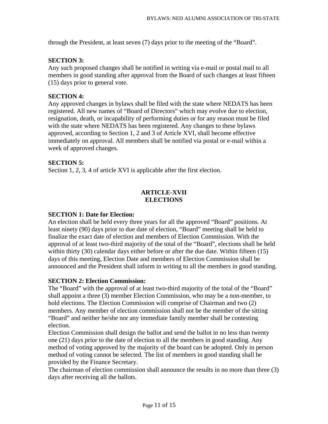through the President, at least seven (7) days prior to the meeting of the "Board".

# **SECTION 3:**

Any such proposed changes shall be notified in writing via e-mail or postal mail to all members in good standing after approval from the Board of such changes at least fifteen (15) days prior to general vote.

# **SECTION 4:**

Any approved changes in bylaws shall be filed with the state where NEDATS has been registered. All new names of "Board of Directors" which may evolve due to election, resignation, death, or incapability of performing duties or for any reason must be filed with the state where NEDATS has been registered. Any changes to these bylaws approved, according to Section 1, 2 and 3 of Article XVI, shall become effective immediately on approval. All members shall be notified via postal or e-mail within a week of approved changes.

# **SECTION 5:**

Section 1, 2, 3, 4 of article XVI is applicable after the first election.

# **ARTICLE-XVII ELECTIONS**

### **SECTION 1: Date for Election:**

An election shall be held every three years for all the approved "Board" positions. At least ninety (90) days prior to due date of election, "Board" meeting shall be held to finalize the exact date of election and members of Election Commission. With the approval of at least two-third majority of the total of the "Board", elections shall be held within thirty (30) calendar days either before or after the due date. Within fifteen (15) days of this meeting, Election Date and members of Election Commission shall be announced and the President shall inform in writing to all the members in good standing.

#### **SECTION 2: Election Commission:**

The "Board" with the approval of at least two-third majority of the total of the "Board" shall appoint a three (3) member Election Commission, who may be a non-member, to hold elections. The Election Commission will comprise of Chairman and two (2) members. Any member of election commission shall not be the member of the sitting "Board" and neither he/she nor any immediate family member shall be contesting election.

Election Commission shall design the ballot and send the ballot in no less than twenty one (21) days prior to the date of election to all the members in good standing. Any method of voting approved by the majority of the board can be adopted. Only in person method of voting cannot be selected. The list of members in good standing shall be provided by the Finance Secretary.

The chairman of election commission shall announce the results in no more than three (3) days after receiving all the ballots.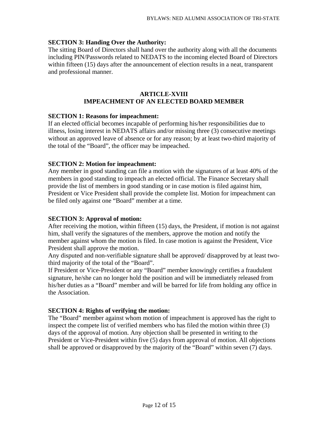# **SECTION 3: Handing Over the Authority:**

The sitting Board of Directors shall hand over the authority along with all the documents including PIN/Passwords related to NEDATS to the incoming elected Board of Directors within fifteen (15) days after the announcement of election results in a neat, transparent and professional manner.

# **ARTICLE-XVIII IMPEACHMENT OF AN ELECTED BOARD MEMBER**

#### **SECTION 1: Reasons for impeachment:**

If an elected official becomes incapable of performing his/her responsibilities due to illness, losing interest in NEDATS affairs and/or missing three (3) consecutive meetings without an approved leave of absence or for any reason; by at least two-third majority of the total of the "Board", the officer may be impeached.

#### **SECTION 2: Motion for impeachment:**

Any member in good standing can file a motion with the signatures of at least 40% of the members in good standing to impeach an elected official. The Finance Secretary shall provide the list of members in good standing or in case motion is filed against him, President or Vice President shall provide the complete list. Motion for impeachment can be filed only against one "Board" member at a time.

#### **SECTION 3: Approval of motion:**

After receiving the motion, within fifteen (15) days, the President, if motion is not against him, shall verify the signatures of the members, approve the motion and notify the member against whom the motion is filed. In case motion is against the President, Vice President shall approve the motion.

Any disputed and non-verifiable signature shall be approved/ disapproved by at least twothird majority of the total of the "Board".

If President or Vice-President or any "Board" member knowingly certifies a fraudulent signature, he/she can no longer hold the position and will be immediately released from his/her duties as a "Board" member and will be barred for life from holding any office in the Association.

#### **SECTION 4: Rights of verifying the motion:**

The "Board" member against whom motion of impeachment is approved has the right to inspect the compete list of verified members who has filed the motion within three (3) days of the approval of motion. Any objection shall be presented in writing to the President or Vice-President within five (5) days from approval of motion. All objections shall be approved or disapproved by the majority of the "Board" within seven (7) days.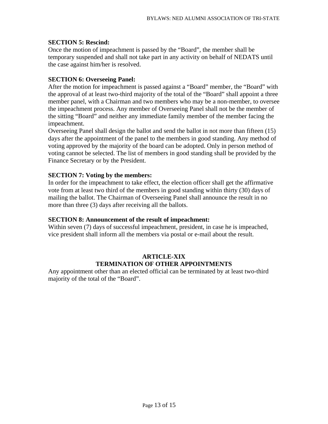#### **SECTION 5: Rescind:**

Once the motion of impeachment is passed by the "Board", the member shall be temporary suspended and shall not take part in any activity on behalf of NEDATS until the case against him/her is resolved.

# **SECTION 6: Overseeing Panel:**

After the motion for impeachment is passed against a "Board" member, the "Board" with the approval of at least two-third majority of the total of the "Board" shall appoint a three member panel, with a Chairman and two members who may be a non-member, to oversee the impeachment process. Any member of Overseeing Panel shall not be the member of the sitting "Board" and neither any immediate family member of the member facing the impeachment.

Overseeing Panel shall design the ballot and send the ballot in not more than fifteen (15) days after the appointment of the panel to the members in good standing. Any method of voting approved by the majority of the board can be adopted. Only in person method of voting cannot be selected. The list of members in good standing shall be provided by the Finance Secretary or by the President.

# **SECTION 7: Voting by the members:**

In order for the impeachment to take effect, the election officer shall get the affirmative vote from at least two third of the members in good standing within thirty (30) days of mailing the ballot. The Chairman of Overseeing Panel shall announce the result in no more than three (3) days after receiving all the ballots.

#### **SECTION 8: Announcement of the result of impeachment:**

Within seven (7) days of successful impeachment, president, in case he is impeached, vice president shall inform all the members via postal or e-mail about the result.

# **ARTICLE-XIX TERMINATION OF OTHER APPOINTMENTS**

Any appointment other than an elected official can be terminated by at least two-third majority of the total of the "Board".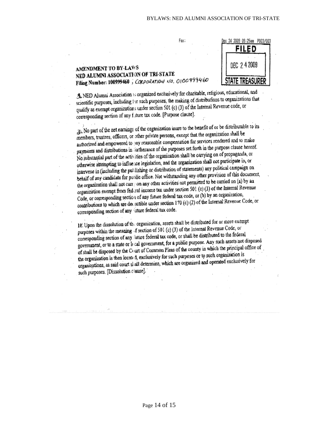

#### AMENDMENT TO BY-LAWS NED ALUMNI ASSOCIATION OF TRI-STATE Filing Number: 100999460, CORPORATION NO. 0100999460

3. NED Alumni Association is organized exclusively for charitable, religious, educational, and St. NED Adurant Association is organized distributions to organizations that<br>scientific purposes, including for such purposes, the making of distributions to organizations that qualify as exempt organizations under section 501 (c) (3) of the Internal Revenue code, or corresponding section of any future tax code. [Purpose clause].

Fax:

 $3$ . No part of the net earnings of the organization inure to the benefit of or be distributable to its the members, trustees, officers, or other private persons, except that the organization shall be authorized and empowered to pay reasonable compensation for services rendered and to make authorized and empowered to hay reasonable complements for the purpose clause hereof.<br>payments and distributions in iurtherance of the purposes set forth in the purpose clause hereof. payments and distributions in the defance of the purposes served anying on of propaganda, or<br>No substantial part of the activities of the organization shall be carrying on of propaganda, or No substantial part of the activities of the organization. The overall not participate in, or<br>otherwise attempting to influence legislation, and the organization shall not participate in, or otherwise attempting to initiative registation, and the organization of statements) any political campaign on behalf of any candidate for public office. Not withstanding any other provision of this document, behalf of any candidate for public office. Not will have any initial to be carried on (a) by an the organization shall not carr; on any other activities not permitted to be carried on (a) by an the organization exempt from federal income tax under section 501 (c) (3) of the Internal Revenue<br>organization exempt from federal income tax under section 501 (c) (3) of the Internal Revenue Code, or corresponding section of any future federal tax code, or (b) by an organization, Code, or corresponding section of any radial creation  $170$  (c) (2) of the Internal Revenue Code, or contributions to which are decucrible under section  $170$  (c) (2) of the Internal Revenue Code, or corresponding section of any luture federal tax code.

IF. Upon the dissolution of the organization, assets shall be distributed for or more exempt If. Upon the dissolution of the organization, assessment of the Internal Revenue Code, or<br>purposes within the meaning of section of 501 (c) (3) of the literal Revenue Code, or purposes within the meaning of section of sort (c) (c) or that be distributed to the federal corresponding section of any lattice retient tax code, or share to discuss the assets not disposed<br>government, or to a state or it cal government, for a public purpose. Any such assets not disposed of shall be disposed by the Court of Common Pleas of the county in which the principal office of of shall be disposed by the Court of Common Pleas of the county in which the principal office of the organization is then localed, exclusively for such purposes or to such organization is the organizations, as said court shall determine, which are organized and operated exclusively for organizations, as said court shall determine, which are organized and operated exclusively for such purposes. [Dissolution clause].